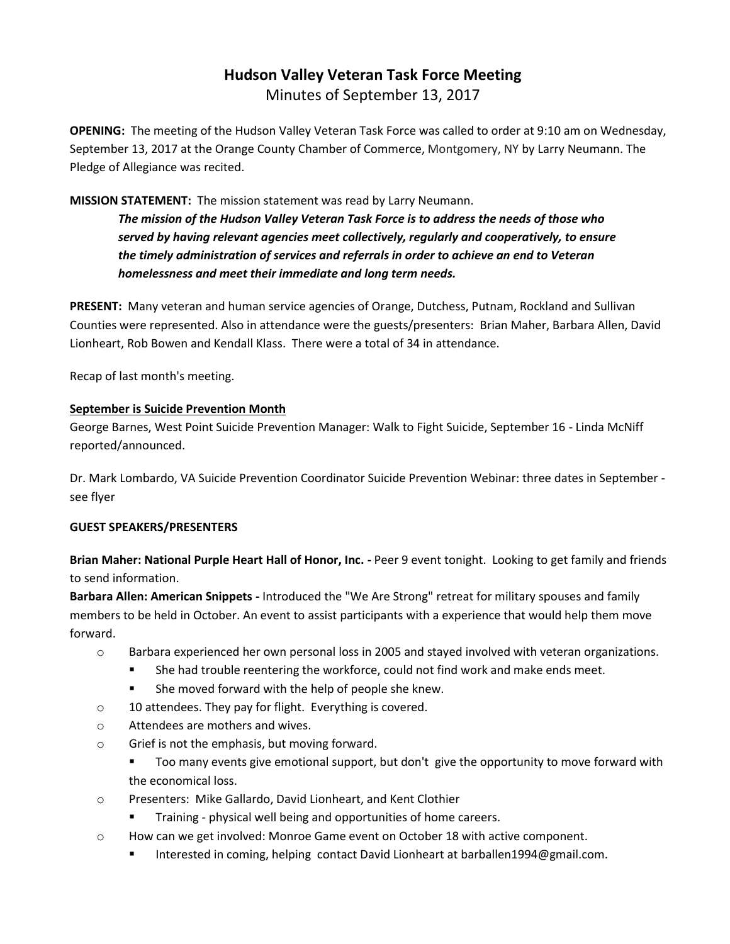# **Hudson Valley Veteran Task Force Meeting**  Minutes of September 13, 2017

**OPENING:** The meeting of the Hudson Valley Veteran Task Force was called to order at 9:10 am on Wednesday, September 13, 2017 at the Orange County Chamber of Commerce, Montgomery, NY by Larry Neumann. The Pledge of Allegiance was recited.

# **MISSION STATEMENT:** The mission statement was read by Larry Neumann.

*The mission of the Hudson Valley Veteran Task Force is to address the needs of those who served by having relevant agencies meet collectively, regularly and cooperatively, to ensure the timely administration of services and referrals in order to achieve an end to Veteran homelessness and meet their immediate and long term needs.* 

**PRESENT:** Many veteran and human service agencies of Orange, Dutchess, Putnam, Rockland and Sullivan Counties were represented. Also in attendance were the guests/presenters: Brian Maher, Barbara Allen, David Lionheart, Rob Bowen and Kendall Klass. There were a total of 34 in attendance.

Recap of last month's meeting.

#### **September is Suicide Prevention Month**

George Barnes, West Point Suicide Prevention Manager: Walk to Fight Suicide, September 16 - Linda McNiff reported/announced.

Dr. Mark Lombardo, VA Suicide Prevention Coordinator Suicide Prevention Webinar: three dates in September see flyer

#### **GUEST SPEAKERS/PRESENTERS**

**Brian Maher: National Purple Heart Hall of Honor, Inc. -** Peer 9 event tonight.Looking to get family and friends to send information.

**Barbara Allen: American Snippets -** Introduced the "We Are Strong" retreat for military spouses and family members to be held in October. An event to assist participants with a experience that would help them move forward.

- o Barbara experienced her own personal loss in 2005 and stayed involved with veteran organizations.
	- She had trouble reentering the workforce, could not find work and make ends meet.
	- She moved forward with the help of people she knew.
- o 10 attendees. They pay for flight. Everything is covered.
- o Attendees are mothers and wives.
- o Grief is not the emphasis, but moving forward.
	- Too many events give emotional support, but don't give the opportunity to move forward with the economical loss.
- o Presenters: Mike Gallardo, David Lionheart, and Kent Clothier
	- Training physical well being and opportunities of home careers.
- $\circ$  How can we get involved: Monroe Game event on October 18 with active component.
	- Interested in coming, helping contact David Lionheart at barballen1994@gmail.com.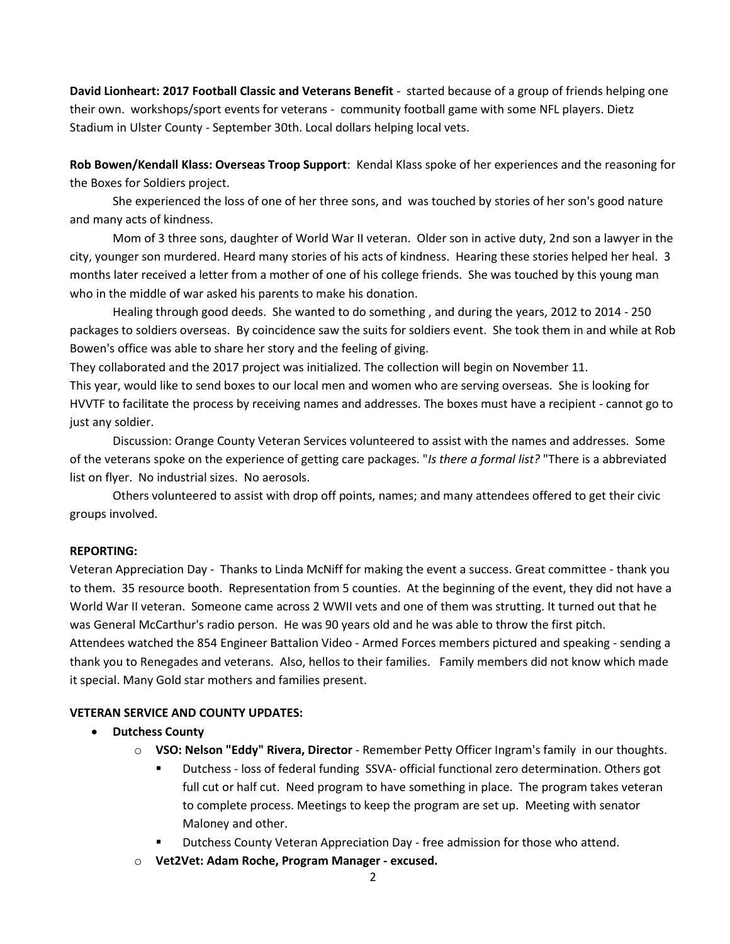**David Lionheart: 2017 Football Classic and Veterans Benefit** - started because of a group of friends helping one their own. workshops/sport events for veterans - community football game with some NFL players. Dietz Stadium in Ulster County - September 30th. Local dollars helping local vets.

**Rob Bowen/Kendall Klass: Overseas Troop Support**: Kendal Klass spoke of her experiences and the reasoning for the Boxes for Soldiers project.

She experienced the loss of one of her three sons, and was touched by stories of her son's good nature and many acts of kindness.

Mom of 3 three sons, daughter of World War II veteran. Older son in active duty, 2nd son a lawyer in the city, younger son murdered. Heard many stories of his acts of kindness. Hearing these stories helped her heal. 3 months later received a letter from a mother of one of his college friends. She was touched by this young man who in the middle of war asked his parents to make his donation.

Healing through good deeds. She wanted to do something , and during the years, 2012 to 2014 - 250 packages to soldiers overseas. By coincidence saw the suits for soldiers event. She took them in and while at Rob Bowen's office was able to share her story and the feeling of giving.

They collaborated and the 2017 project was initialized. The collection will begin on November 11.

This year, would like to send boxes to our local men and women who are serving overseas. She is looking for HVVTF to facilitate the process by receiving names and addresses. The boxes must have a recipient - cannot go to just any soldier.

Discussion: Orange County Veteran Services volunteered to assist with the names and addresses. Some of the veterans spoke on the experience of getting care packages. "*Is there a formal list?* "There is a abbreviated list on flyer. No industrial sizes. No aerosols.

Others volunteered to assist with drop off points, names; and many attendees offered to get their civic groups involved.

#### **REPORTING:**

Veteran Appreciation Day - Thanks to Linda McNiff for making the event a success. Great committee - thank you to them. 35 resource booth. Representation from 5 counties. At the beginning of the event, they did not have a World War II veteran. Someone came across 2 WWII vets and one of them was strutting. It turned out that he was General McCarthur's radio person. He was 90 years old and he was able to throw the first pitch. Attendees watched the 854 Engineer Battalion Video - Armed Forces members pictured and speaking - sending a

thank you to Renegades and veterans. Also, hellos to their families. Family members did not know which made it special. Many Gold star mothers and families present.

# **VETERAN SERVICE AND COUNTY UPDATES:**

# • **Dutchess County**

- o **VSO: Nelson "Eddy" Rivera, Director**  Remember Petty Officer Ingram's family in our thoughts.
	- Dutchess loss of federal funding SSVA- official functional zero determination. Others got full cut or half cut. Need program to have something in place. The program takes veteran to complete process. Meetings to keep the program are set up. Meeting with senator Maloney and other.
	- Dutchess County Veteran Appreciation Day free admission for those who attend.
- o **Vet2Vet: Adam Roche, Program Manager - excused.**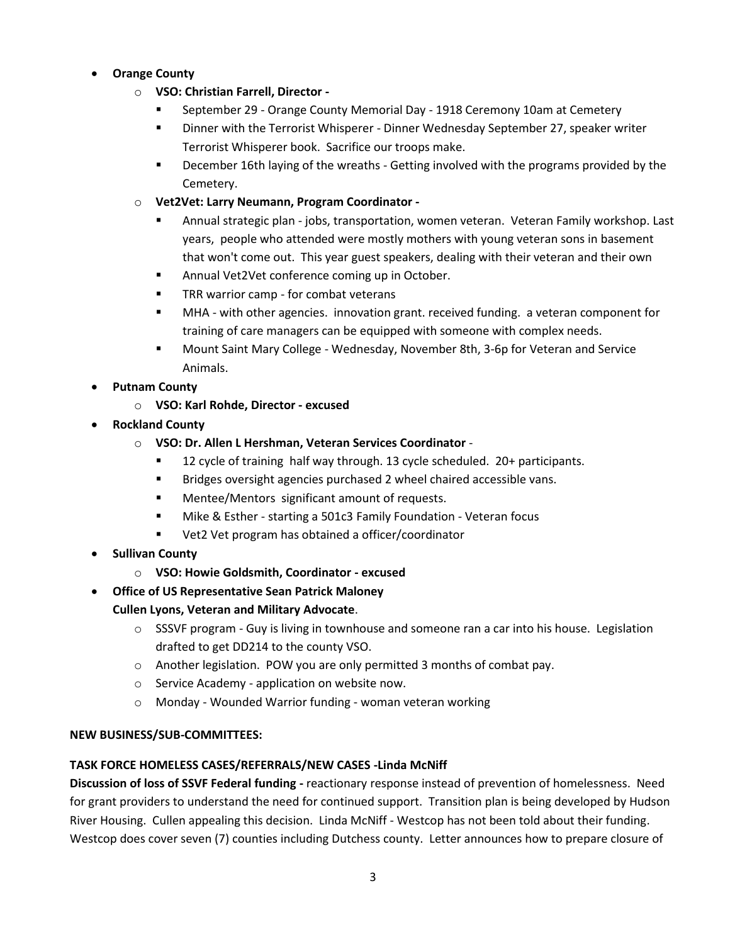#### • **Orange County**

- o **VSO: Christian Farrell, Director -**
	- **EXEDENGE 29 Orange County Memorial Day 1918 Ceremony 10am at Cemetery**
	- **■** Dinner with the Terrorist Whisperer Dinner Wednesday September 27, speaker writer Terrorist Whisperer book. Sacrifice our troops make.
	- December 16th laying of the wreaths Getting involved with the programs provided by the Cemetery.
- o **Vet2Vet: Larry Neumann, Program Coordinator -**
	- Annual strategic plan jobs, transportation, women veteran. Veteran Family workshop. Last years, people who attended were mostly mothers with young veteran sons in basement that won't come out. This year guest speakers, dealing with their veteran and their own
	- Annual Vet2Vet conference coming up in October.
	- TRR warrior camp for combat veterans
	- **■** MHA with other agencies. innovation grant. received funding. a veteran component for training of care managers can be equipped with someone with complex needs.
	- Mount Saint Mary College Wednesday, November 8th, 3-6p for Veteran and Service Animals.
- **Putnam County**
	- o **VSO: Karl Rohde, Director - excused**
- **Rockland County**
	- o **VSO: Dr. Allen L Hershman, Veteran Services Coordinator**
		- 12 cycle of training half way through. 13 cycle scheduled. 20+ participants.
		- Bridges oversight agencies purchased 2 wheel chaired accessible vans.
		- Mentee/Mentors significant amount of requests.
		- Mike & Esther starting a 501c3 Family Foundation Veteran focus
		- Vet2 Vet program has obtained a officer/coordinator
- **Sullivan County**
	- o **VSO: Howie Goldsmith, Coordinator - excused**
- **Office of US Representative Sean Patrick Maloney**
	- **Cullen Lyons, Veteran and Military Advocate**.
		- $\circ$  SSSVF program Guy is living in townhouse and someone ran a car into his house. Legislation drafted to get DD214 to the county VSO.
		- $\circ$  Another legislation. POW you are only permitted 3 months of combat pay.
		- o Service Academy application on website now.
		- o Monday Wounded Warrior funding woman veteran working

# **NEW BUSINESS/SUB-COMMITTEES:**

# **TASK FORCE HOMELESS CASES/REFERRALS/NEW CASES -Linda McNiff**

**Discussion of loss of SSVF Federal funding -** reactionary response instead of prevention of homelessness. Need for grant providers to understand the need for continued support. Transition plan is being developed by Hudson River Housing. Cullen appealing this decision. Linda McNiff - Westcop has not been told about their funding. Westcop does cover seven (7) counties including Dutchess county. Letter announces how to prepare closure of